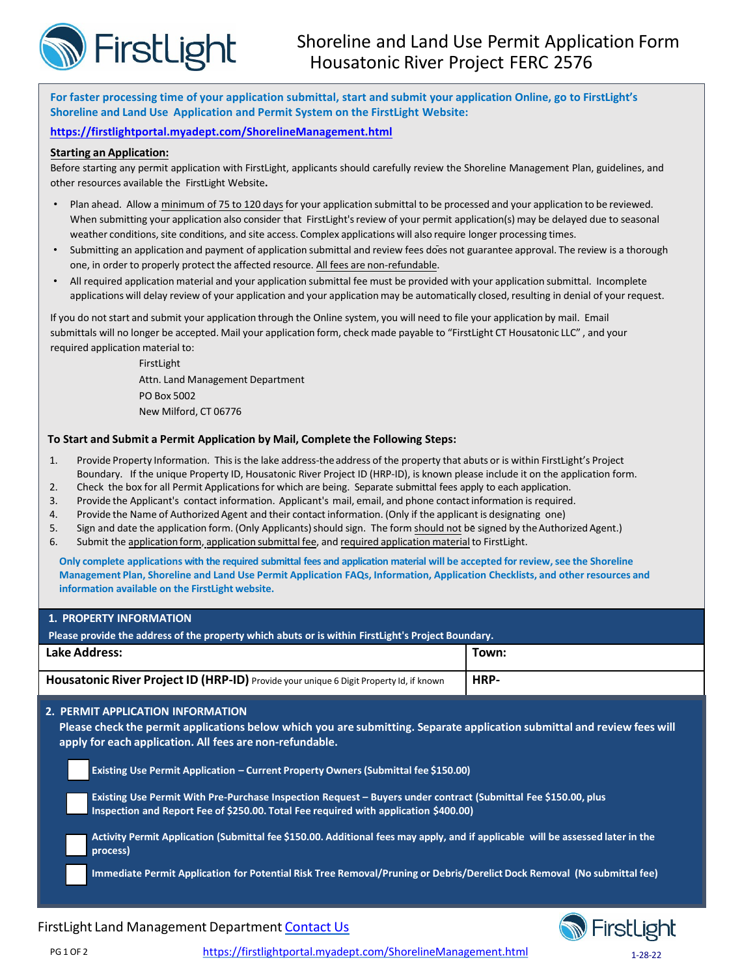

**For faster processing time of your application submittal, start and submit your application Online, go to FirstLight's Shoreline and Land Use Application and Permit System on the FirstLight Website:**

## **<https://firstlightportal.myadept.com/ShorelineManagement.html>**

## **Starting an Application:**

Before starting any permit application with FirstLight, applicants should carefully review the Shoreline Management Plan, guidelines, and other resources available the FirstLight Website**.**

- Plan ahead. Allow a minimum of 75 to 120 daysfor your application submittal to be processed and your application to be reviewed. When submitting your application also consider that FirstLight's review of your permit application(s) may be delayed due to seasonal weather conditions, site conditions, and site access. Complex applications will also require longer processing times.
- Submitting an application and payment of application submittal and review fees does not guarantee approval. The review is a thorough one, in order to properly protect the affected resource. All fees are non-refundable.
- All required application material and your application submittal fee must be provided with your application submittal. Incomplete applications will delay review of your application and your application may be automatically closed, resulting in denial of your request.

If you do not start and submit your application through the Online system, you will need to file your application by mail. Email submittals will no longer be accepted. Mail your application form, check made payable to "FirstLight CT Housatonic LLC" , and your required application material to:

> FirstLight Attn. Land Management Department PO Box 5002 New Milford, CT 06776

## **To Start and Submit a Permit Application by Mail, Complete the Following Steps:**

- 1. Provide Property Information. Thisis the lake address-theaddress of the property that abuts or is within FirstLight's Project Boundary. If the unique Property ID, Housatonic River Project ID (HRP-ID), is known please include it on the application form.
- 2. Check the box for all Permit Applications for which are being. Separate submittal fees apply to each application.
- 3. Provide the Applicant's contact information. Applicant's mail, email, and phone contactinformation is required.
- 4. Provide the Name of Authorized Agent and their contact information. (Only if the applicant is designating one)
- 5. Sign and date the application form. (Only Applicants) should sign. The form should not be signed by the Authorized Agent.)
- 6. Submit the application form, application submittal fee, and required application material to FirstLight.

Only complete applications with the required submittal fees and application material will be accepted for review, see the Shoreline **Management Plan, Shoreline and Land Use Permit Application FAQs, Information, Application Checklists, and other resources and information available on the FirstLight website.**

| <b>1. PROPERTY INFORMATION</b>                                                                                                                                                                                                                                                                                                                                                                                                                                                                                                                                                                                                                                                                                                                                                                      |       |  |  |  |  |  |  |
|-----------------------------------------------------------------------------------------------------------------------------------------------------------------------------------------------------------------------------------------------------------------------------------------------------------------------------------------------------------------------------------------------------------------------------------------------------------------------------------------------------------------------------------------------------------------------------------------------------------------------------------------------------------------------------------------------------------------------------------------------------------------------------------------------------|-------|--|--|--|--|--|--|
| Please provide the address of the property which abuts or is within FirstLight's Project Boundary.                                                                                                                                                                                                                                                                                                                                                                                                                                                                                                                                                                                                                                                                                                  |       |  |  |  |  |  |  |
| Lake Address:                                                                                                                                                                                                                                                                                                                                                                                                                                                                                                                                                                                                                                                                                                                                                                                       | Town: |  |  |  |  |  |  |
| Housatonic River Project ID (HRP-ID) Provide your unique 6 Digit Property Id, if known                                                                                                                                                                                                                                                                                                                                                                                                                                                                                                                                                                                                                                                                                                              | HRP-  |  |  |  |  |  |  |
| 2. PERMIT APPLICATION INFORMATION<br>Please check the permit applications below which you are submitting. Separate application submittal and review fees will<br>apply for each application. All fees are non-refundable.<br>Existing Use Permit Application - Current Property Owners (Submittal fee \$150.00)<br>Existing Use Permit With Pre-Purchase Inspection Request – Buyers under contract (Submittal Fee \$150.00, plus<br>Inspection and Report Fee of \$250.00. Total Fee required with application \$400.00)<br>Activity Permit Application (Submittal fee \$150.00. Additional fees may apply, and if applicable will be assessed later in the<br>process)<br>Immediate Permit Application for Potential Risk Tree Removal/Pruning or Debris/Derelict Dock Removal (No submittal fee) |       |  |  |  |  |  |  |





PG 1 OF 2 <https://firstlightportal.myadept.com/ShorelineManagement.html> 1-28-22